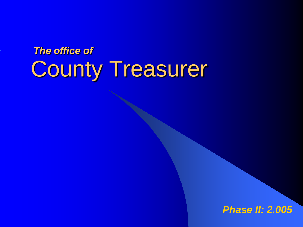# County Treasurer *The office of*

#### *Phase II: 2.005*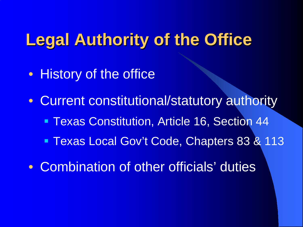# **Legal Authority of the Office**

- History of the office
- Current constitutional/statutory authority
	- **Texas Constitution, Article 16, Section 44**
	- **Texas Local Gov't Code, Chapters 83 & 113**
- Combination of other officials' duties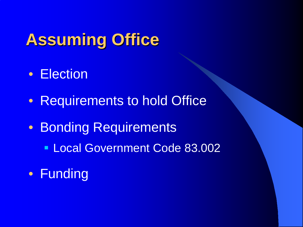# **Assuming Office**

- Election
- Requirements to hold Office
- Bonding Requirements
	- **Local Government Code 83.002**
- Funding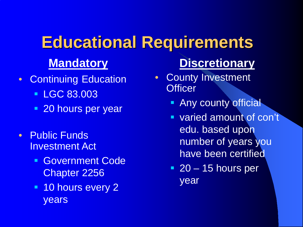# **Educational Requirements**

#### **Mandatory**

- Continuing Education
	- **LGC 83.003**
	- **20 hours per year**
- Public Funds Investment Act
	- **Government Code** Chapter 2256
	- **10 hours every 2** years

### **Discretionary**

- County Investment **Officer** 
	- **Any county official**
	- **varied amount of con't** edu. based upon number of years you have been certified
	- $\blacksquare$  20 15 hours per year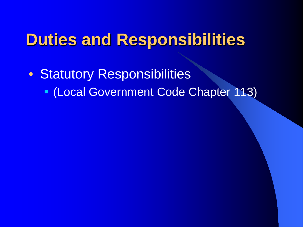• Statutory Responsibilities (Local Government Code Chapter 113)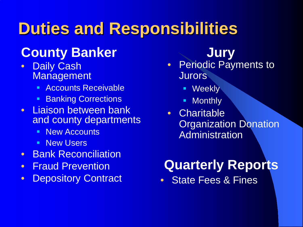## **County Banker**

- Daily Cash Management
	- Accounts Receivable
	- Banking Corrections
- Liaison between bank and county departments
	- **New Accounts**
	- **New Users**
- Bank Reconciliation
- Fraud Prevention
- Depository Contract

#### **Jury**

- Periodic Payments to **Jurors** 
	- **Weekly**
	- **Monthly**
- Charitable **Organization Donation** Administration

## **Quarterly Reports**

• State Fees & Fines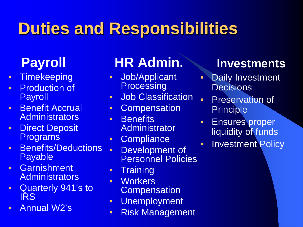- Timekeeping
- Production of Payroll
- Benefit Accrual **Administrators**
- **Direct Deposit Programs**
- Benefits/Deductions Payable
- Garnishment **Administrators**
- Quarterly 941's to IRS
- Annual W2's

## **Payroll HR Admin.**

- Job/Applicant **Processing**
- Job Classification
- Compensation
- Benefits **Administrator**
- Compliance
- Development of Personnel Policies
- Training
- Workers **Compensation**
- Unemployment
- Risk Management

#### **Investments**

- Daily Investment **Decisions**
- Preservation of **Principle**
- Ensures proper liquidity of funds
- Investment Policy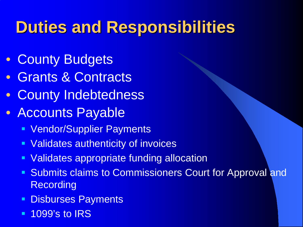- County Budgets
- Grants & Contracts
- County Indebtedness
- Accounts Payable
	- **Vendor/Supplier Payments**
	- **Validates authenticity of invoices**
	- **Validates appropriate funding allocation**
	- **Submits claims to Commissioners Court for Approval and Recording**
	- **Disburses Payments**
	- **1099's to IRS**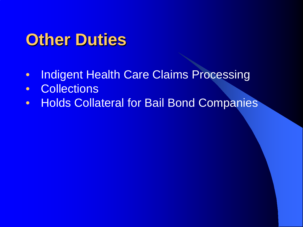# **Other Duties**

- Indigent Health Care Claims Processing
- Collections
- Holds Collateral for Bail Bond Companies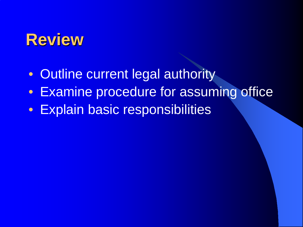## **Review**

- Outline current legal authority
- Examine procedure for assuming office
- Explain basic responsibilities